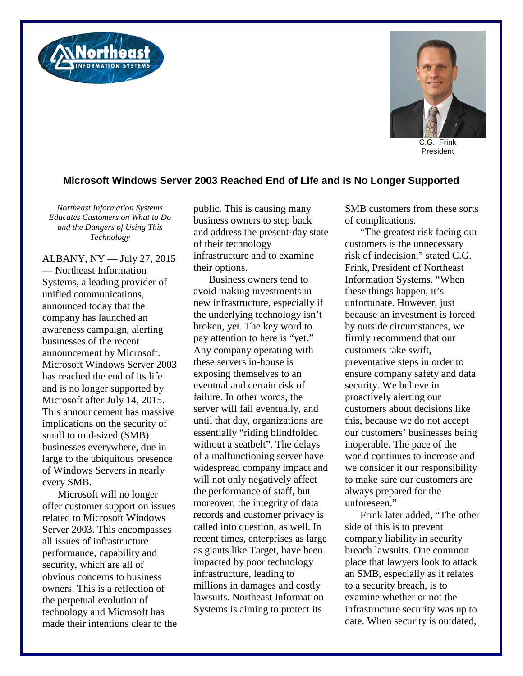



C.G. Frink President

## **Microsoft Windows Server 2003 Reached End of Life and Is No Longer Supported**

*Northeast Information Systems Educates Customers on What to Do and the Dangers of Using This Technology*

ALBANY, NY — July 27, 2015 — Northeast Information Systems, a leading provider of unified communications, announced today that the company has launched an awareness campaign, alerting businesses of the recent announcement by Microsoft. Microsoft Windows Server 2003 has reached the end of its life and is no longer supported by Microsoft after July 14, 2015. This announcement has massive implications on the security of small to mid-sized (SMB) businesses everywhere, due in large to the ubiquitous presence of Windows Servers in nearly every SMB.

Microsoft will no longer offer customer support on issues related to Microsoft Windows Server 2003. This encompasses all issues of infrastructure performance, capability and security, which are all of obvious concerns to business owners. This is a reflection of the perpetual evolution of technology and Microsoft has made their intentions clear to the public. This is causing many business owners to step back and address the present-day state of their technology infrastructure and to examine their options.

Business owners tend to avoid making investments in new infrastructure, especially if the underlying technology isn't broken, yet. The key word to pay attention to here is "yet." Any company operating with these servers in-house is exposing themselves to an eventual and certain risk of failure. In other words, the server will fail eventually, and until that day, organizations are essentially "riding blindfolded without a seatbelt". The delays of a malfunctioning server have widespread company impact and will not only negatively affect the performance of staff, but moreover, the integrity of data records and customer privacy is called into question, as well. In recent times, enterprises as large as giants like Target, have been impacted by poor technology infrastructure, leading to millions in damages and costly lawsuits. Northeast Information Systems is aiming to protect its

SMB customers from these sorts of complications.

"The greatest risk facing our customers is the unnecessary risk of indecision," stated C.G. Frink, President of Northeast Information Systems. "When these things happen, it's unfortunate. However, just because an investment is forced by outside circumstances, we firmly recommend that our customers take swift, preventative steps in order to ensure company safety and data security. We believe in proactively alerting our customers about decisions like this, because we do not accept our customers' businesses being inoperable. The pace of the world continues to increase and we consider it our responsibility to make sure our customers are always prepared for the unforeseen."

Frink later added, "The other side of this is to prevent company liability in security breach lawsuits. One common place that lawyers look to attack an SMB, especially as it relates to a security breach, is to examine whether or not the infrastructure security was up to date. When security is outdated,